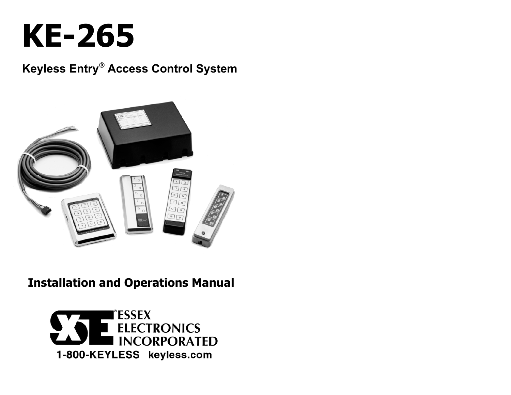

## **Keyless Entry Access Control System**



## **Installation and Operations Manual**

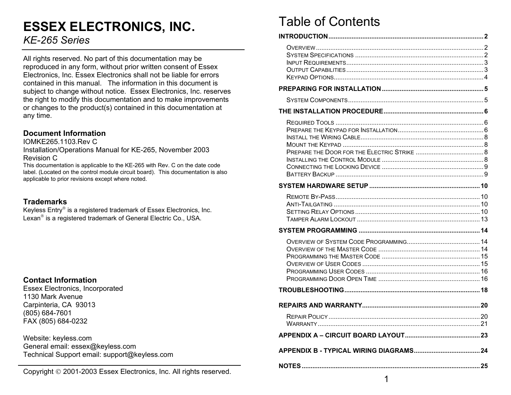# **ESSEX ELECTRONICS, INC.**

### *KE-265 Series*

All rights reserved. No part of this documentation may be reproduced in any form, without prior written consent of Essex Electronics, Inc. Essex Electronics shall not be liable for errors contained in this manual. The information in this document is subject to change without notice. Essex Electronics, Inc. reserves the right to modify this documentation and to make improvements or changes to the product(s) contained in this documentation at any time.

#### **Document Information**

IOMKE265.1103.Rev C Installation/Operations Manual for KE-265, November 2003 Revision C

This documentation is applicable to the KE-265 with Rev. C on the date code label. (Located on the control module circuit board). This documentation is also applicable to prior revisions except where noted.

### **Trademarks**

Keyless Entry<sup>®</sup> is a registered trademark of Essex Electronics, Inc. Lexan<sup>®</sup> is a registered trademark of General Electric Co., USA.

#### **Contact Information**

Essex Electronics, Incorporated 1130 Mark Avenue Carpinteria, CA 93013 (805) 684-7601 FAX (805) 684-0232

Website: keyless.com General email: essex@keyless.com Technical Support email: support@keyless.com

Copyright © 2001-2003 Essex Electronics, Inc. All rights reserved.

## Table of Contents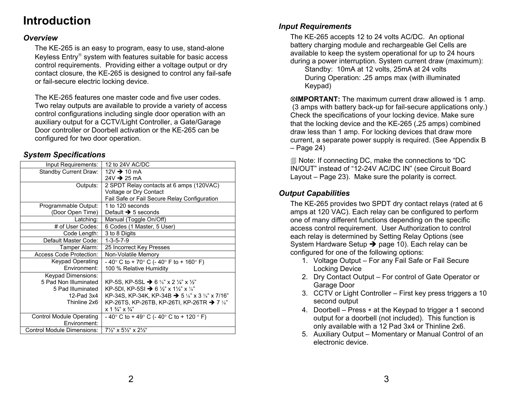# **Introduction** *Input Requirements*

#### *Overview*

The KE-265 is an easy to program, easy to use, stand-alone Keyless Entry® system with features suitable for basic access control requirements. Providing either a voltage output or dry contact closure, the KE-265 is designed to control any fail-safe or fail-secure electric locking device.

The KE-265 features one master code and five user codes. Two relay outputs are available to provide a variety of access control configurations including single door operation with an auxiliary output for a CCTV/Light Controller, a Gate/Garage Door controller or Doorbell activation or the KE-265 can be configured for two door operation.

## – Page 24) *System Specifications*

| Input Requirements:             | 12 to 24V AC/DC                                                           |  |  |
|---------------------------------|---------------------------------------------------------------------------|--|--|
| Standby Current Draw:           | 12V $\rightarrow$ 10 mA                                                   |  |  |
|                                 | $24V \rightarrow 25 \text{ mA}$                                           |  |  |
| Outputs:                        | 2 SPDT Relay contacts at 6 amps (120VAC)                                  |  |  |
|                                 | Voltage or Dry Contact                                                    |  |  |
|                                 | Fail Safe or Fail Secure Relay Configuration                              |  |  |
| Programmable Output:            | 1 to 120 seconds                                                          |  |  |
| (Door Open Time)                | Default $\rightarrow$ 5 seconds                                           |  |  |
| Latching:                       | Manual (Toggle On/Off)                                                    |  |  |
| # of User Codes:                | 6 Codes (1 Master, 5 User)                                                |  |  |
| Code Length:                    | 3 to 8 Digits                                                             |  |  |
| Default Master Code:            | $1 - 3 - 5 - 7 - 9$                                                       |  |  |
| Tamper Alarm:                   | 25 Incorrect Key Presses                                                  |  |  |
| Access Code Protection:         | Non-Volatile Memory                                                       |  |  |
| Keypad Operating                | - 40° C to + 70° C (- 40° F to + 160° F)                                  |  |  |
| Environment:                    | 100 % Relative Humidity                                                   |  |  |
| Keypad Dimensions:              |                                                                           |  |  |
| 5 Pad Non Illuminated           | KP-5S, KP-5SL → 6 $\frac{5}{8}$ " x 2 $\frac{1}{4}$ " x 1/ <sub>2</sub> " |  |  |
| 5 Pad Illuminated               | KP-5DI, KP-5SI → 6 ½" x 1½" x 1%"                                         |  |  |
| 12-Pad 3x4                      | KP-34S, KP-34K, KP-34B $\rightarrow$ 5 1/s" x 3 3/s" x 7/16"              |  |  |
| Thinline 2x6                    | KP-26TS, KP-26TB, KP-26TI, KP-26TR $\rightarrow$ 7 $\frac{1}{8}$          |  |  |
|                                 | $x 1 \frac{3}{4}$ " $x \frac{3}{4}$ "                                     |  |  |
| <b>Control Module Operating</b> | - 40° C to + 49° C (- 40° C to + 120 ° F)                                 |  |  |
| Environment:                    |                                                                           |  |  |
| Control Module Dimensions:      | $7\frac{1}{2}$ " x 5 $\frac{1}{2}$ " x 2 $\frac{1}{2}$ "                  |  |  |

The KE-265 accepts 12 to 24 volts AC/DC. An optional battery charging module and rechargeable Gel Cells are available to keep the system operational for up to 24 hours during a power interruption. System current draw (maximum):

Standby: 10mA at 12 volts, 25mA at 24 volts During Operation: **.**25 amps max (with illuminated Keypad)

⊗**IMPORTANT:** The maximum current draw allowed is 1 amp. (3 amps with battery back-up for fail-secure applications only.) Check the specifications of your locking device. Make sure that the locking device and the KE-265 (**.**25 amps) combined draw less than 1 amp. For locking devices that draw more current, a separate power supply is required. (See Appendix B

 Note: If connecting DC, make the connections to "DC IN/OUT" instead of "12-24V AC/DC IN" (see Circuit Board Layout – Page 23). Make sure the polarity is correct.

### *Output Capabilities*

The KE-265 provides two SPDT dry contact relays (rated at 6 amps at 120 VAC). Each relay can be configured to perform one of many different functions depending on the specific access control requirement. User Authorization to control each relay is determined by Setting Relay Options (see System Hardware Setup → page 10). Each relay can be configured for one of the following options:

- 1. Voltage Output For any Fail Safe or Fail Secure Locking Device
- 2. Dry Contact Output For control of Gate Operator or Garage Door
- 3. CCTV or Light Controller First key press triggers a 10 second output
- 4. Doorbell Press ∗ at the Keypad to trigger a 1 second output for a doorbell (not included). This function is only available with a 12 Pad 3x4 or Thinline 2x6.
- 5. Auxiliary Output Momentary or Manual Control of an electronic device.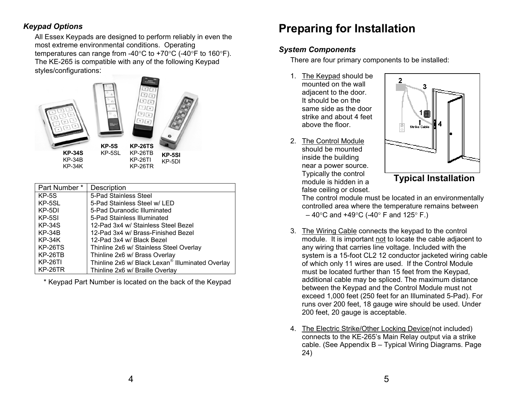most extreme environmental conditions. Operating temperatures can range from -40°C to +70°C (-40°F to 160°F). The KE-265 is compatible with any of the following Keypad styles/configurations:



| Part Number*   | Description                                      |
|----------------|--------------------------------------------------|
| $KP-5S$        | 5-Pad Stainless Steel                            |
| KP-5SL         | 5-Pad Stainless Steel w/ LED                     |
| KP-5DI         | 5-Pad Duranodic Illuminated                      |
| KP-5SI         | 5-Pad Stainless Illuminated                      |
| <b>KP-34S</b>  | 12-Pad 3x4 w/ Stainless Steel Bezel              |
| $KP-34B$       | 12-Pad 3x4 w/ Brass-Finished Bezel               |
| $KP-34K$       | 12-Pad 3x4 w/ Black Bezel                        |
| <b>KP-26TS</b> | Thinline 2x6 w/ Stainless Steel Overlay          |
| KP-26TB        | Thinline 2x6 w/ Brass Overlay                    |
| <b>KP-26TI</b> | Thinline 2x6 w/ Black Lexan® Illuminated Overlay |
| KP-26TR        | Thinline 2x6 w/ Braille Overlay                  |

\* Keypad Part Number is located on the back of the Keypad

# <span id="page-3-0"></span>**Preparing for Installation** *Keypad Options* All Essex Keypads are designed to perform reliably in even the

#### *System Components*

There are four primary components to be installed:

- 1. <u>The Keypad</u> should be mounted on the wall adjacent to the door. It should be on the same side as the door strike and about 4 feet above the floor.
- 2. The Control Module should be mounted inside the building near a power source. Typically the control module is hidden in a false ceiling or closet.



The control module must be located in an environmentally controlled area where the temperature remains between  $-40^{\circ}$ C and +49 $^{\circ}$ C (-40 $^{\circ}$  F and 125 $^{\circ}$  F.)

- 3. The Wiring Cable connects the keypad to the control module. It is important <u>not</u> to locate the cable adjacent to any wiring that carries line voltage. Included with the system is a 15-foot CL2 12 conductor jacketed wiring cable of which only 11 wires are used. If the Control Module must be located further than 15 feet from the Keypad, additional cable may be spliced. The maximum distance between the Keypad and the Control Module must not exceed 1,000 feet (250 feet for an Illuminated 5-Pad). For runs over 200 feet, 18 gauge wire should be used. Under 200 feet, 20 gauge is acceptable.
- 4. The Electric Strike/Other Locking Device(not included) connects to the KE-265's Main Relay output via a strike cable. (See Appendix B – Typical Wiring Diagrams. Page 24)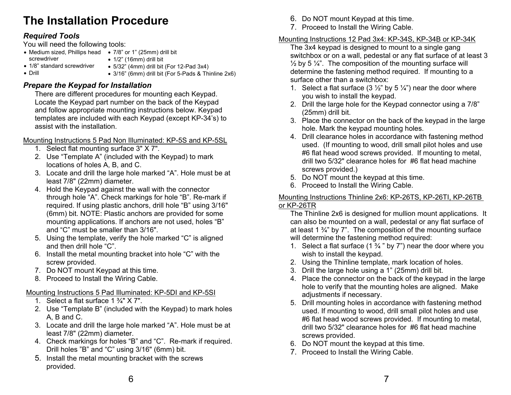# <span id="page-4-0"></span>**The Installation Procedure 6. Do NOT mount Keypad at this time.**<br>7. Proceed to Install the Wiring Cable.

- Medium sized, Phillips head 7/8" or 1" (25mm) drill bit screwdriver • 1/8" standard screwdriver  $\bullet$  1/2" (16mm) drill bit
- 

• 5/32" (4mm) drill bit (For 12-Pad 3x4)

• Drill

- 
- 3/16" (6mm) drill bit (For 5-Pads & Thinline 2x6)

and follow appropriate mounting instructions below. Keypad templates are included with each Keypad (except KP-34's) to assist with the installation.

#### Mounting Instructions 5 Pad Non Illuminated: KP-5S and KP-5SL

- 1. Select flat mounting surface 3" X 7".
- 2. Use "Template A" (included with the Keypad) to mark locations of holes A, B, and C.
- 3. Locate and drill the large hole marked "A". Hole must be at least 7/8" (22mm) diameter.<br>5. Bo NOT mount the keypad at this time. 6. Proceed to Install the Wiring Cable.<br>4. Hold the Keypad against the wall with the connector
- through hole "A". Check markings for hole "B". Re-mark if required. If using plastic anchors, drill hole "B" using 3/16" (6mm) bit. NOTE: Plastic anchors are provided for some mounting applications. If anchors are not used, holes "B" and "C" must be smaller than 3/16".
- 5. Using the template, verify the hole marked "C" is aligned will determine the fastening method required:
- 6. Install the metal mounting bracket into hole "C" with the wish to install the keypad. screw provided. **2.** Using the Thinline template, mark location of holes.
- 
- 8. Proceed to Install the Wiring Cable.

## Mounting Instructions 5 Pad Illuminated: KP-5DI and KP-5SI<br>1. Select a flat surface 1  $\frac{3}{4}$ " X 7".

- 
- 2. Use "Template B" (included with the Keypad) to mark holes A, B and C.
- 3. Locate and drill the large hole marked "A". Hole must be at least 7/8" (22mm) diameter.
- 4. Check markings for holes "B" and "C". Re-mark if required. Drill holes "B" and "C" using 3/16" (6mm) bit.
- Drill noies "B" and "C" using 3/16" (6mm) bit.<br>5. Install the metal mounting bracket with the screws 5. Install the metal mounting bracket with the screws provided.
- 
- 

# **Required Tools**<br>
You will need the following tools:<br>
The 3x4 keypad is designed to mount to a single gang

switchbox or on a wall, pedestal or any flat surface of at least 3  $\frac{1}{2}$  by 5  $\frac{1}{4}$ . The composition of the mounting surface will determine the fastening method required. If mounting to a surface other than a switchbox:

- **Prepare the Keypad for Installation**<br>There are different procedures for mounting each Keypad.<br>Locate the Keypad part number on the back of the Keypad<br>2 Drill the large hole for the Keypad connector using a 7/8
	- 2. Drill the large hole for the Keypad connector using a 7/8" (25mm) drill bit.
	- 3. Place the connector on the back of the keypad in the large hole. Mark the keypad mounting holes.
	- 4. Drill clearance holes in accordance with fastening method used. (If mounting to wood, drill small pilot holes and use #6 flat head wood screws provided. If mounting to metal, drill two 5/32" clearance holes for #6 flat head machine screws provided.)<br>5. Do NOT mount the keypad at this time.
	-
	-

#### Mounting Instructions Thinline 2x6: KP-26TS, KP-26TI, KP-26TB or KP-26TR

The Thinline 2x6 is designed for mullion mount applications. It can also be mounted on a wall, pedestal or any flat surface of at least 1  $\frac{3}{4}$ " by 7". The composition of the mounting surface

- and then drill hole "C".  $\overline{C}$ ".
	-
- 7. Do NOT mount Keypad at this time. 3. Drill the large hole using a 1" (25mm) drill bit.
	- 4. Place the connector on the back of the keypad in the large hole to verify that the mounting holes are aligned. Make adjustments if necessary.
	- 5. Drill mounting holes in accordance with fastening method used. If mounting to wood, drill small pilot holes and use #6 flat head wood screws provided. If mounting to metal, drill two 5/32" clearance holes for #6 flat head machine screws provided.
	- 6. Do NOT mount the keypad at this time.
	-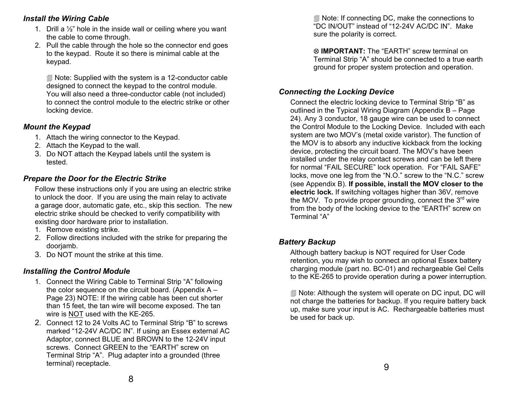#### <span id="page-5-0"></span>*Install the Wiring Cable*

- 1. Drill a ½" hole in the inside wall or ceiling where you want the cable to come through.
- 2. Pull the cable through the hole so the connector end goes to the keypad. Route it so there is minimal cable at the keypad.

 Note: Supplied with the system is a 12-conductor cable designed to connect the keypad to the control module. You will also need a three-conductor cable (not included) to connect the control module to the electric strike or other locking device.

### *Mount the Keypad*

- 1. Attach the wiring connector to the Keypad.
- 2. Attach the Keypad to the wall.
- 3. Do NOT attach the Keypad labels until the system is tested.

### *Prepare the Door for the Electric Strike*

Follow these instructions only if you are using an electric strike to unlock the door. If you are using the main relay to activate a garage door, automatic gate, etc., skip this section. The new electric strike should be checked to verify compatibility with existing door hardware prior to installation.

- 1. Remove existing strike.
- 2. Follow directions included with the strike for preparing the r ollow directions included with the strike for preparing the<br>doorjamb.<br>Do NOT mount the strike at this time in the strike of this time is the strike of this time is NOT required for User Code
- 3. Do NOT mount the strike at this time.

### *Installing the Control Module*

- 1. Connect the Wiring Cable to Terminal Strip "A" following the color sequence on the circuit board. (Appendix  $A -$ Page 23) NOTE: If the wiring cable has been cut shorter than 15 feet, the tan wire will become exposed. The tan wire is <u>NOT</u> used with the KE-265.
- be used for back up.<br>2. Connect 12 to 24 Volts AC to Terminal Strip "B" to screws be used for back up. marked "12-24V AC/DC IN". If using an Essex external AC Adaptor, connect BLUE and BROWN to the 12-24V input screws. Connect GREEN to the "EARTH" screw on Terminal Strip "A". Plug adapter into a grounded (three terminal) receptacle.

 Note: If connecting DC, make the connections to "DC IN/OUT" instead of "12-24V AC/DC IN". Make sure the polarity is correct.

⊗ **IMPORTANT:** The "EARTH" screw terminal on Terminal Strip "A" should be connected to a true earth ground for proper system protection and operation.

### *Connecting the Locking Device*

Connect the electric locking device to Terminal Strip "B" as outlined in the Typical Wiring Diagram (Appendix B – Page 24). Any 3 conductor, 18 gauge wire can be used to connect the Control Module to the Locking Device. Included with each system are two MOV's (metal oxide varistor). The function of the MOV is to absorb any inductive kickback from the locking device, protecting the circuit board. The MOV's have been installed under the relay contact screws and can be left there for normal "FAIL SECURE" lock operation. For "FAIL SAFE" locks, move one leg from the "N.O." screw to the "N.C." screw (see Appendix B). **If possible, install the MOV closer to the electric lock.** If switching voltages higher than 36V, remove the MOV. To provide proper grounding, connect the  $3<sup>rd</sup>$  wire from the body of the locking device to the "EARTH" screw on Terminal "A"

retention, you may wish to connect an optional Essex battery charging module (part no. BC-01) and rechargeable Gel Cells to the KE-265 to provide operation during a power interruption.

 Note: Although the system will operate on DC input, DC will not charge the batteries for backup. If you require battery back up, make sure your input is AC. Rechargeable batteries must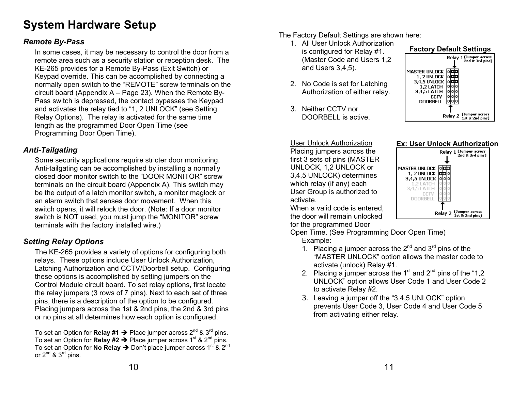## <span id="page-6-0"></span>**System Hardware Setup**

In some cases, it may be necessary to control the door from a<br> **In some cases, it may be necessary to control the door from a**<br> **In some cases** in the **Integral of the Control of the Control of the Control of the Control o** remote area such as a security station or reception desk. The KE-265 provides for a Remote By-Pass (Exit Switch) or Keypad override. This can be accomplished by connecting a normally <u>open</u> switch to the "REMOTE" screw terminals on the circuit board (Appendix A – Page 23). When the Remote By-Pass switch is depressed, the contact bypasses the Keypad and activates the relay tied to "1, 2 UNLOCK" (see Setting Relay Options). The relay is activated for the same time length as the programmed Door Open Time (see Programming Door Open Time).

### *Anti-Tailgating*

Some security applications require stricter door monitoring. Anti-tailgating can be accomplished by installing a normally closed door monitor switch to the "DOOR MONITOR" screw terminals on the circuit board (Appendix A). This switch may be the output of a latch monitor switch, a monitor maglock or an alarm switch that senses door movement. When this switch opens, it will relock the door. (Note: If a door monitor switch is NOT used, you must jump the "MONITOR" screw terminals with the factory installed wire.)

### *Setting Relay Options*

The KE-265 provides a variety of options for configuring both relays. These options include User Unlock Authorization, Latching Authorization and CCTV/Doorbell setup. Configuring these options is accomplished by setting jumpers on the Control Module circuit board. To set relay options, first locate the relay jumpers (3 rows of 7 pins). Next to each set of three pins, there is a description of the option to be configured. Placing jumpers across the 1st & 2nd pins, the 2nd & 3rd pins or no pins at all determines how each option is configured.

To set an Option for **No Relay →** Don't place jumper across 1<sup>st</sup> & 2<sup>nd</sup> or  $2^{nd}$  &  $3^{rd}$  pins. To set an Option for **Relay #1 →** Place jumper across 2<sup>nd</sup> & 3<sup>rd</sup> pins. To set an Option for **Relay #2 →** Place jumper across 1<sup>st</sup> & 2<sup>nd</sup> pins.

- The Factory Default Settings are shown here:<br>1. All User Unlock Authorization<br>is configured for Relay #1 **Factory Default Settings** is configured for Relay #1 **Factory Default Settings** (Master Code and Users 1,2 and Users 3,4,5).
	- 2. No Code is set for Latching Authorization of either relay.
	- 3. Neither CCTV nor DOORBELL is active.

User Unlock AuthorizationPlacing jumpers across the first 3 sets of pins (MASTER UNLOCK, 1,2 UNLOCK or 3,4,5 UNLOCK) determines which relay (if any) each User Group is authorized to activate.

When a valid code is entered. the door will remain unlocked for the programmed Door

Open Time. (See Programming Door Open Time) Example:

- 1. Placing a jumper across the  $2^{nd}$  and  $3^{rd}$  pins of the "MASTER UNLOCK" option allows the master code to activate (unlock) Relay #1.
- 2. Placing a jumper across the  $1<sup>st</sup>$  and  $2<sup>nd</sup>$  pins of the "1,2 UNLOCK" option allows User Code 1 and User Code 2 to activate Relay #2.
- 3. Leaving a jumper off the "3,4,5 UNLOCK" option prevents User Code 3, User Code 4 and User Code 5 from activating either relay.



#### **Ex: User Unlock Authorization**

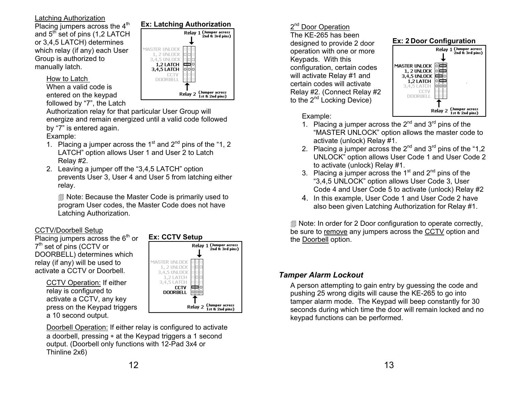#### <span id="page-7-0"></span>Latching Authorization

and  $5<sup>th</sup>$  set of pins (1,2 LATCH or 3,4,5 LATCH) determines which relay (if any) each User Group is authorized to manually latch.

#### How to Latch

When a valid code is entered on the keypad followed by "7", the Latch



Authorization relay for that particular User Group will energize and remain energized until a valid code followed by "7" is entered again.

#### Example:

- 1. Placing a jumper across the 1<sup>st</sup> and  $2^{nd}$  pins of the "1, 2 LATCH" option allows User 1 and User 2 to Latch Relay #2.
- 2. Leaving a jumper off the "3,4,5 LATCH" option prevents User 3, User 4 and User 5 from latching either relay.

 Note: Because the Master Code is primarily used to program User codes, the Master Code does not have Latching Authorization.

#### CCTV/Doorbell Setup

Placing jumpers across the  $6<sup>th</sup>$  or 7<sup>th</sup> set of pins (CCTV or DOORBELL) determines which relay (if any) will be used to activate a CCTV or Doorbell.

> CCTV Operation: If either relay is configured to activate a CCTV, any key press on the Keypad triggers a 10 second output.



Doorbell Operation: If either relay is configured to activate a doorbell, pressing ∗ at the Keypad triggers a 1 second output. (Doorbell only functions with 12-Pad 3x4 or Thinline 2x6)

### 2<sup>nd</sup> Door Operation

The KE-265 has been designed to provide 2 door operation with one or more Keypads. With this configuration, certain codes will activate Relay #1 and certain codes will activate Relay #2. (Connect Relay #2 to the 2<sup>nd</sup> Locking Device)

#### **Ex: 2 Door Configuration**



Example:

- 1. Placing a jumper across the  $2^{nd}$  and  $3^{rd}$  pins of the "MASTER UNLOCK" option allows the master code to activate (unlock) Relay #1.
- 2. Placing a jumper across the  $2^{nd}$  and  $3^{rd}$  pins of the "1,2 UNLOCK" option allows User Code 1 and User Code 2 to activate (unlock) Relay #1.
- 3. Placing a jumper across the  $1<sup>st</sup>$  and  $2<sup>nd</sup>$  pins of the "3,4,5 UNLOCK" option allows User Code 3, User Code 4 and User Code 5 to activate (unlock) Relay #2
- 4. In this example, User Code 1 and User Code 2 have also been given Latching Authorization for Relay #1.

**I** Note: In order for 2 Door configuration to operate correctly, be sure to <u>remove</u> any jumpers across the <u>CCTV</u> option and the <u>Doorbell</u> option.

#### *Tamper Alarm Lockout*

A person attempting to gain entry by guessing the code and pushing 25 wrong digits will cause the KE-265 to go into tamper alarm mode. The Keypad will beep constantly for 30 seconds during which time the door will remain locked and no keypad functions can be performed.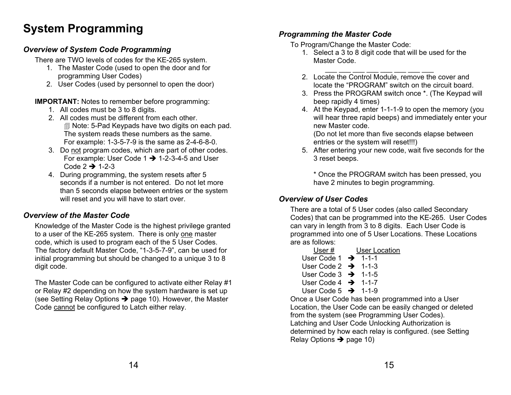## **System Programming** <br>*Programming the Master Code*

## To Program/Change the Master Code: *Overview of System Code Programming* 1. Select a 3 to 8 digit code that will be used for the

There are TWO levels of codes for the KE-265 system.

- 1. The Master Code (used to open the door and for programming User Codes)
- 

### **IMPORTANT:** Notes to remember before programming: beep rapidly 4 times)

- 1. All codes must be 3 to 8 digits.
- 2. All codes must be different from each other. Note: 5-Pad Keypads have two digits on each pad. The system reads these numbers as the same. For example: 1-3-5-7-9 is the same as 2-4-6-8-0.
- 3. Do not program codes, which are part of other codes. For example: User Code  $1 \rightarrow 1-2-3-4-5$  and User Code  $2 \rightarrow 1-2-3$
- 4. During programming, the system resets after 5 seconds if a number is not entered. Do not let more than 5 seconds elapse between entries or the system will reset and you will have to start over. *Overview of User Codes*

### *Overview of the Master Code*

Knowledge of the Master Code is the highest privilege granted to a user of the KE-265 system. There is only <u>one</u> master code, which is used to program each of the 5 User Codes. The factory default Master Code, "1-3-5-7-9", can be used for initial programming but should be changed to a unique 3 to 8 digit code.

The Master Code can be configured to activate either Relay #1 or Relay #2 depending on how the system hardware is set up (see Setting Relay Options  $\rightarrow$  page 10). However, the Master Code <u>cannot</u> be configured to Latch either relay.

- 
- 2. Locate the Control Module, remove the cover and 2. User Codes (used by personnel to open the door) locate the "PROGRAM" switch on the circuit board.
	- 3. Press the PROGRAM switch once \*. (The Keypad will
	- 4. At the Keypad, enter 1-1-1-9 to open the memory (you will hear three rapid beeps) and immediately enter your new Master code.

(Do not let more than five seconds elapse between entries or the system will reset!!!)

5. After entering your new code, wait five seconds for the 3 reset beeps.

\* Once the PROGRAM switch has been pressed, you have 2 minutes to begin programming.

There are a total of 5 User codes (also called Secondary Codes) that can be programmed into the KE-265. User Codes can vary in length from 3 to 8 digits. Each User Code is programmed into one of 5 User Locations. These Locations are as follows:

| User #                           | User Location |  |
|----------------------------------|---------------|--|
| User Code $1 \rightarrow 1$ -1-1 |               |  |
| User Code 2 $\rightarrow$ 1-1-3  |               |  |
| User Code $3 \rightarrow 1-1-5$  |               |  |
| User Code $4 \rightarrow 1-1-7$  |               |  |
| User Code 5 $\rightarrow$ 1-1-9  |               |  |

Once a User Code has been programmed into a User Location, the User Code can be easily changed or deleted from the system (see Programming User Codes). Latching and User Code Unlocking Authorization is determined by how each relay is configured. (see Setting Relay Options  $\rightarrow$  page 10)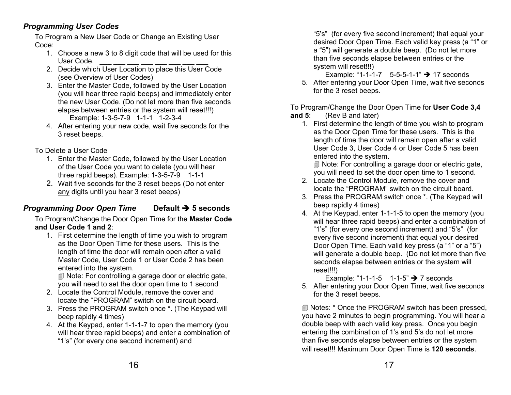### <span id="page-9-0"></span>*Programming User Codes*

To Program a New User Code or Change an Existing User Code:

- 1. Choose a new 3 to 8 digit code that will be used for this User Code.
- 2. Decide which User Location to place this User Code (see Overview of User Codes)
- 3. Enter the Master Code, followed by the User Location (you will hear three rapid beeps) and immediately enter the new User Code. (Do not let more than five seconds
- 4. After entering your new code, wait five seconds for the 3 reset beeps.

To Delete a User Code

- 1. Enter the Master Code, followed by the User Location of the User Code you want to delete (you will hear three rapid beeps). Example: 1-3-5-7-9 1-1-1
- locate the Control Module, remove the cover and<br>any digits until you hear 3 reset beeps) any digits until you hear 3 reset beeps) any digits until you hear 3 reset beeps) 3. Press the PROGRAM switch once \*. (The Keypad wil

### **Programming Door Open Time Default**  $\rightarrow$  **5 seconds** *Deep rapidly 4 times*)

To Program/Change the Door Open Time for the **Master Code and User Code 1 and 2**:

1. First determine the length of time you wish to program as the Door Open Time for these users. This is the length of time the door will remain open after a valid Master Code, User Code 1 or User Code 2 has been entered into the system.

 Note: For controlling a garage door or electric gate, you will need to set the door open time to 1 second

- 2. Locate the Control Module, remove the cover and locate the 3 reset beeps.<br>locate the "PROGRAM" switch on the circuit board.
- 3. Press the PROGRAM switch once \*. (The Keypad will beep rapidly 4 times)
- 4. At the Keypad, enter 1-1-1-7 to open the memory (you will hear three rapid beeps) and enter a combination of "1's" (for every one second increment) and

"5's" (for every five second increment) that equal your desired Door Open Time. Each valid key press (a "1" or <sup>a</sup>"5") will generate a double beep. (Do not let more than five seconds elapse between entries or the system will reset!!!)

 $\rightarrow$  17 seconds

5. After entering your Door Open Time, wait five seconds

elapse between entries or the system will reset!!!)<br>Example: 1-3-5-7-9 1-1-1 1-2-3-4<br>After entering your new code wait five seconds for the state of the seconds of the seconds for the seconds for the seconds for the second

as the Door Open Time for these users. This is the length of time the door will remain open after a valid User Code 3, User Code 4 or User Code 5 has been entered into the system.

 Note: For controlling a garage door or electric gate, you will need to set the door open time to 1 second.

- 2. Locate the Control Module, remove the cover and
- 
- <sup>Î</sup> **5 seconds** 4. At the Keypad, enter 1-1-1-5 to open the memory (you will hear three rapid beeps) and enter a combination of "1's" (for every one second increment) and "5's" (for every five second increment) that equal your desired Door Open Time. Each valid key press (a "1" or a "5") will generate a double beep. (Do not let more than five seconds elapse between entries or the system will reset!!!)

 $\rightarrow$  7 seconds

5. After entering your Door Open Time, wait five seconds

 Notes: \* Once the PROGRAM switch has been pressed, you have 2 minutes to begin programming. You will hear a double beep with each valid key press. Once you begin entering the combination of 1's and 5's do not let more than five seconds elapse between entries or the system will reset!!! Maximum Door Open Time is **120 seconds**.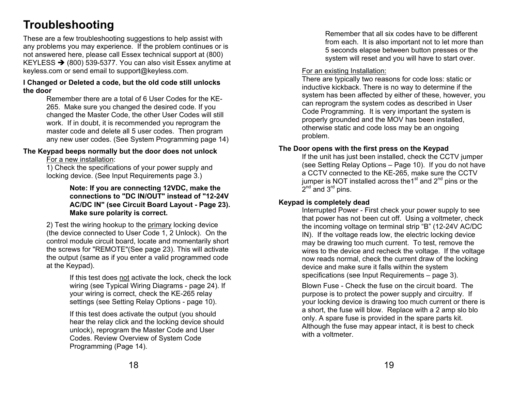## <span id="page-10-0"></span>**T roubleshooting**

These are a few troubleshooting suggestions to help assist with any problems you may experience. If the problem continues or is not answered here, please call Essex technical support at (800) KEYLESS  $\rightarrow$  (800) 539-5377. You can also visit Essex anytime at keyless.com or send email to support@keyless.com. The existing Installation:

#### **I Changed or Deleted a code, but the old code still unlocks the door**

Remember there are a total of 6 User Codes for the KE-265. Make sure you changed the desired code. If you changed the Master Code, the other User Codes will still work. If in doubt, it is recommended you reprogram the master code and delete all 5 user codes. Then program any new user codes. (See System Programming page 14)

## **The Keypad beeps normally but the door does not unlock If the Door opens with the first press on the Keypad**<br>If the unit has just been installed, check the CCTV jumper

For a new installation:

1) Check the specifications of your power supply and locking device. (See Input Requirements page 3.)

> **Note: If you are connecting 12VDC, make the connections to "DC IN/OUT" instead of "12-24V AC/DC IN" (see Circuit Board Layout - Page 23). Make sure polarity is correct.**

2) Test the wiring hookup to the <u>primary</u> locking device (the device connected to User Code 1, 2 Unlock). On the control module circuit board, locate and momentarily short the screws for "REMOTE"(See page 23). This will activate the output (same as if you enter a valid programmed code at the Keypad).

> If this test does <u>not</u> activate the lock, check the lock wiring (see Typical Wiring Diagrams - page 24). If your wiring is correct, check the KE-265 relay settings (see Setting Relay Options - page 10).

If this test does activate the output (you should hear the relay click and the locking device should unlock), reprogram the Master Code and User Codes. Review Overview of System Code Programming (Page 14).

Remember that all six codes have to be different from each. It is also important not to let more than 5 seconds elapse between button presses or the system will reset and you will have to start over.

There are typically two reasons for code loss: static or inductive kickback. There is no way to determine if the system has been affected by either of these, however, you can reprogram the system codes as described in User Code Programming. It is very important the system is properly grounded and the MOV has been installed, otherwise static and code loss may be an ongoing problem.

(see Setting Relay Options – Page 10). If you do not have a CCTV connected to the KE-265, make sure the CCTV jumper is NOT installed across the 1<sup>st</sup> and  $2<sup>nd</sup>$  pins or the  $2^{nd}$  and  $3^{rd}$  pins.

#### **Keypad is completely dead**

Interrupted Power - First check your power supply to see that power has not been cut off. Using a voltmeter, check the incoming voltage on terminal strip "B" (12-24V AC/DC IN). If the voltage reads low, the electric locking device may be drawing too much current. To test, remove the wires to the device and recheck the voltage. If the voltage now reads normal, check the current draw of the locking device and make sure it falls within the system specifications (see Input Requirements – page 3).

Blown Fuse - Check the fuse on the circuit board. The purpose is to protect the power supply and circuitry. If your locking device is drawing too much current or there is a short, the fuse will blow. Replace with a 2 amp slo blo only. A spare fuse is provided in the spare parts kit. Although the fuse may appear intact, it is best to check with a voltmeter.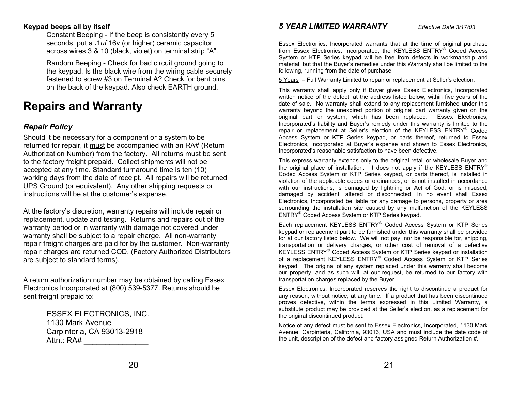Constant Beeping - If the beep is consistently every 5 seconds, put a **.**1*uf* 16v (or higher) ceramic capacitor across wires 3 & 10 (black, violet) on terminal strip "A".

Random Beeping - Check for bad circuit ground going to the keypad. Is the black wire from the wiring cable securely on the back of the keypad. Also check EARTH ground.

## **Rep airs and Warranty**

#### *Repair Policy*

Should it be necessary for a component or a system to be returned for repair, it <u>must</u> be accompanied with an RA# (Return Authorization Number) from the factory. All returns must be sent to the factory <u>freight prepaid</u>. Collect shipments will not be accepted at any time. Standard turnaround time is ten (10) working days from the date of receipt. All repairs will be returned UPS Ground (or equivalent). Any other shipping requests or instructions will be at the customer's expense.

At the factory's discretion, warranty repairs will include repair or replacement, update and testing. Returns and repairs out of the warranty period or in warranty with damage not covered under warranty shall be subject to a repair charge. All non-warranty repair freight charges are paid for by the customer. Non-warranty repair charges are returned COD. (Factory Authorized Distributors are subject to standard terms).

A return authorization number may be obtained by calling Essex transportation charges replaced by the Buyer. Electronics Incorporated at (800) 539-5377. Returns should be sent freight prepaid to:

Carpinteria, CA 93013-2918 Attn.: RA# \_\_\_\_\_\_\_\_\_\_\_\_\_\_\_

#### <span id="page-11-0"></span>**Keypad beeps all by itself** *5 YEAR LIMITED WARRANTY Effective Date 3/17/03*

Essex Electronics, Incorporated warrants that at the time of original purchase from Essex Electronics, Incorporated, the KEYLESS ENTRY® Coded Access System or KTP Series keypad will be free from defects in workmanship and material, but that the Buyer's remedies under this Warranty shall be limited to the following, running from the date of purchase:

fastened to screw #3 on Terminal A? Check for bent pins 5 Years – Full Warranty Limited to repair or replacement at Seller's election.

This warranty shall apply only if Buyer gives Essex Electronics, Incorporated written notice of the defect, at the address listed below, within five years of the date of sale. No warranty shall extend to any replacement furnished under this warranty beyond the unexpired portion of original part warranty given on the original part or system, which has been replaced. Essex Electronics, Incorporated's liability and Buyer's remedy under this warranty is limited to the repair or replacement at Seller's election of the KEYLESS ENTRY® Coded Access System or KTP Series keypad, or parts thereof, returned to Essex Electronics, Incorporated at Buyer's expense and shown to Essex Electronics, Incorporated's reasonable satisfaction to have been defective.

This express warranty extends only to the original retail or wholesale Buyer and the original place of installation. It does not apply if the KEYLESS  $ENTRY^{\circledast}$ Coded Access System or KTP Series keypad, or parts thereof, is installed in violation of the applicable codes or ordinances, or is not installed in accordance with our instructions, is damaged by lightning or Act of God, or is misused, damaged by accident, altered or disconnected. In no event shall Essex Electronics, Incorporated be liable for any damage to persons, property or area surrounding the installation site caused by any malfunction of the KEYLESS ENTR

Each replacement KEYLESS ENTRY® Coded Access System or KTP Series keypad or replacement part to be furnished under this warranty shall be provided for at our factory listed below. We will not pay, nor be responsible for, shipping, transportation or delivery charges, or other cost of removal of a defective KEYLESS ENTRY® Coded Access System or KTP Series keypad or installation of a replacement KEYLESS ENTRY® Coded Access System or KTP Series keypad. The original of any system replaced under this warranty shall become our property, and as such will, at our request, be returned to our factory with

Essex Electronics, Incorporated reserves the right to discontinue a product for any reason, without notice, at any time. If a product that has been discontinued proves defective, within the terms expressed in this Limited Warranty, a substitute product may be provided at the Seller's election, as a replacement for<br>
1130 Mark Avenue<br>
1130 Mark Avenue

Notice of any defect must be sent to Essex Electronics, Incorporated, 1130 Mark Avenue, Carpinteria, California, 93013, USA and must include the date code of the unit, description of the defect and factory assigned Return Authorization #.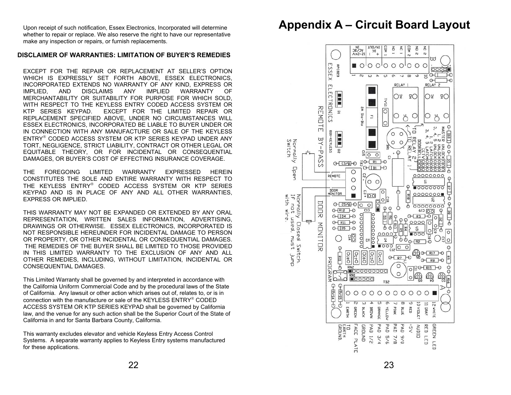Upon receipt of such notification, Essex Electronics, Incorporated will determine whether to repair or replace. We also reserve the right to have our representative make any inspection or repairs, or furnish replacements.

#### **DISCLAIMER OF WARRANTIES: LIMITATION OF BUYER'S REMEDIES**

EXCEPT FOR THE REPAIR OR REPLACEMENT AT SELLER'S OPTION WHICH IS EXPRESSLY SET FORTH ABOVE, ESSEX ELECTRONICS, INCORPORATED EXTENDS NO WARRANTY OF ANY KIND, EXPRESS OR IMPLIED, AND DISCLAIMS ANY IMPLIED WARRANTY OF MERCHANTABILITY OR SUITABILITY FOR PURPOSE FOR WHICH SOLD, WITH RESPECT TO THE KEYLESS ENTRY CODED ACCESS SYSTEM OR KTP SERIES KEYPAD. EXCEPT FOR THE LIMITED REPAIR OR REPLACEMENT SPECIFIED ABOVE, UNDER NO CIRCUMSTANCES WILL ESSEX ELECTRONICS, INCORPORATED BE LIABLE TO BUYER UNDER OR IN CONNECTION WITH ANY MANUFACTURE OR SALE OF THE KEYLESS ENTRY<sup>®</sup> CODED ACCESS SYSTEM OR KTP SERIES KEYPAD UNDER ANY TORT, NEGLIGENCE, STRICT LIABILITY, CONTRACT OR OTHER LEGAL OR EQUITABLE THEORY, OR FOR INCIDENTAL OR CONSEQUENTIAL DAMAGES, OR BUYER'S COST OF EFFECTING INSURANCE COVERAGE.

THE FOREGOING LIMITED WARRANTY EXPRESSED HEREIN CONSTITUTES THE SOLE AND ENTIRE WARRANTY WITH RESPECT TOTHE KEYLESS ENTRY® CODED ACCESS SYSTEM OR KTP SERIES KEYPAD AND IS IN PLACE OF ANY AND ALL OTHER WARRANTIES, EXPRESS OR IMPLIED.

THIS WARRANTY MAY NOT BE EXPANDED OR EXTENDED BY ANY ORAL REPRESENTATION, WRITTEN SALES INFORMATION, ADVERTISING, DRAWINGS OR OTHERWISE. ESSEX ELECTRONICS, INCORPORATED IS NOT RESPONSIBLE HEREUNDER FOR INCIDENTAL DAMAGE TO PERSON OR PROPERTY, OR OTHER INCIDENTAL OR CONSEQUENTIAL DAMAGES. THE REMEDIES OF THE BUYER SHALL BE LIMITED TO THOSE PROVIDED IN THIS LIMITED WARRANTY TO THE EXCLUSION OF ANY AND ALL OTHER REMEDIES, INCLUDING, WITHOUT LIMITATION, INCIDENTAL OR CONSEQUENTIAL DAMAGES.

This Limited Warranty shall be governed by and interpreted in accordance with the California Uniform Commercial Code and by the procedural laws of the State of California. Any lawsuit or other action which arises out of, relates to, or is in connection with the manufacture or sale of the KEYLESS  $ENTRY^{\circ}$  CODED ACCESS SYSTEM OR KTP SERIES KEYPAD shall be governed by California law, and the venue for any such action shall be the Superior Court of the State of California in and for Santa Barbara County, California.

This warranty excludes elevator and vehicle Keyless Entry Access Control Systems. A separate warranty applies to Keyless Entry systems manufactured for these applications.

## **Appendix A – Circuit Board Layout**